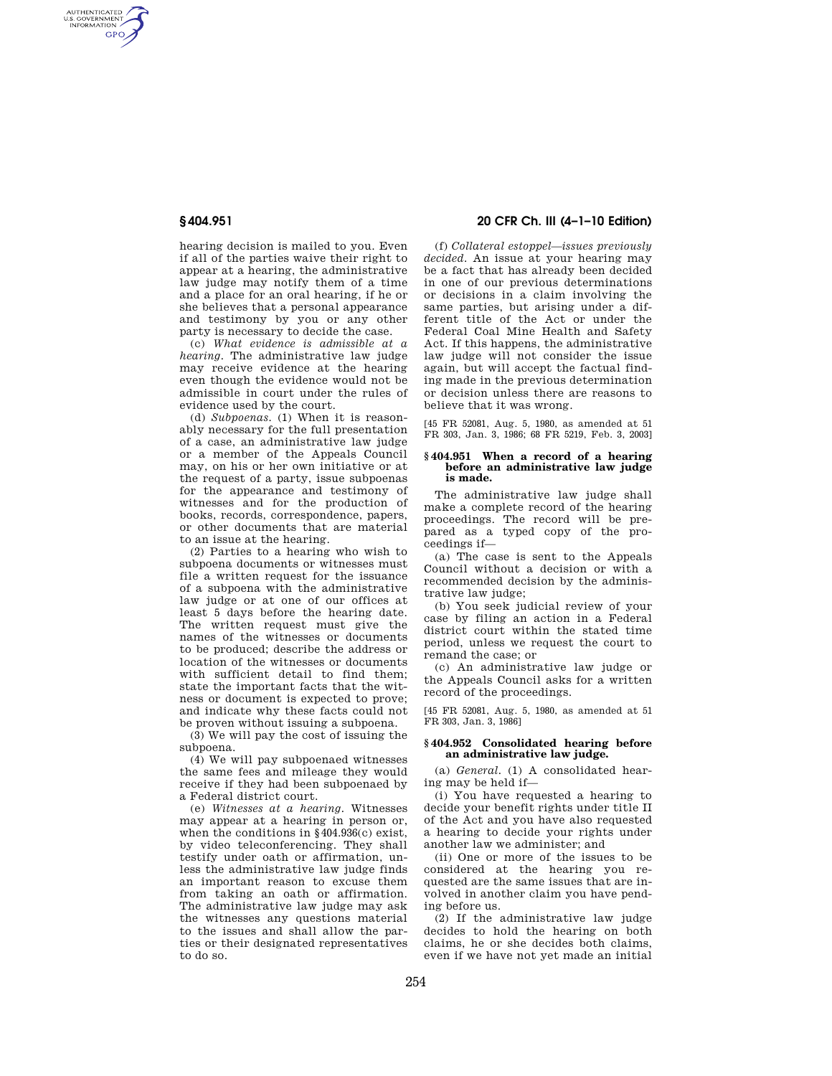AUTHENTICATED<br>U.S. GOVERNMENT<br>INFORMATION **GPO** 

> hearing decision is mailed to you. Even if all of the parties waive their right to appear at a hearing, the administrative law judge may notify them of a time and a place for an oral hearing, if he or she believes that a personal appearance and testimony by you or any other party is necessary to decide the case.

> (c) *What evidence is admissible at a hearing.* The administrative law judge may receive evidence at the hearing even though the evidence would not be admissible in court under the rules of evidence used by the court.

> (d) *Subpoenas.* (1) When it is reasonably necessary for the full presentation of a case, an administrative law judge or a member of the Appeals Council may, on his or her own initiative or at the request of a party, issue subpoenas for the appearance and testimony of witnesses and for the production of books, records, correspondence, papers, or other documents that are material to an issue at the hearing.

> (2) Parties to a hearing who wish to subpoena documents or witnesses must file a written request for the issuance of a subpoena with the administrative law judge or at one of our offices at least 5 days before the hearing date. The written request must give the names of the witnesses or documents to be produced; describe the address or location of the witnesses or documents with sufficient detail to find them; state the important facts that the witness or document is expected to prove; and indicate why these facts could not be proven without issuing a subpoena.

(3) We will pay the cost of issuing the subpoena.

(4) We will pay subpoenaed witnesses the same fees and mileage they would receive if they had been subpoenaed by a Federal district court.

(e) *Witnesses at a hearing.* Witnesses may appear at a hearing in person or, when the conditions in §404.936(c) exist, by video teleconferencing. They shall testify under oath or affirmation, unless the administrative law judge finds an important reason to excuse them from taking an oath or affirmation. The administrative law judge may ask the witnesses any questions material to the issues and shall allow the parties or their designated representatives to do so.

# **§ 404.951 20 CFR Ch. III (4–1–10 Edition)**

(f) *Collateral estoppel—issues previously decided.* An issue at your hearing may be a fact that has already been decided in one of our previous determinations or decisions in a claim involving the same parties, but arising under a different title of the Act or under the Federal Coal Mine Health and Safety Act. If this happens, the administrative law judge will not consider the issue again, but will accept the factual finding made in the previous determination or decision unless there are reasons to believe that it was wrong.

[45 FR 52081, Aug. 5, 1980, as amended at 51 FR 303, Jan. 3, 1986; 68 FR 5219, Feb. 3, 2003]

#### **§ 404.951 When a record of a hearing before an administrative law judge is made.**

The administrative law judge shall make a complete record of the hearing proceedings. The record will be prepared as a typed copy of the proceedings if—

(a) The case is sent to the Appeals Council without a decision or with a recommended decision by the administrative law judge;

(b) You seek judicial review of your case by filing an action in a Federal district court within the stated time period, unless we request the court to remand the case; or

(c) An administrative law judge or the Appeals Council asks for a written record of the proceedings.

[45 FR 52081, Aug. 5, 1980, as amended at 51 FR 303, Jan. 3, 1986]

### **§ 404.952 Consolidated hearing before an administrative law judge.**

(a) *General.* (1) A consolidated hearing may be held if—

(i) You have requested a hearing to decide your benefit rights under title II of the Act and you have also requested a hearing to decide your rights under another law we administer; and

(ii) One or more of the issues to be considered at the hearing you requested are the same issues that are involved in another claim you have pending before us.

(2) If the administrative law judge decides to hold the hearing on both claims, he or she decides both claims, even if we have not yet made an initial